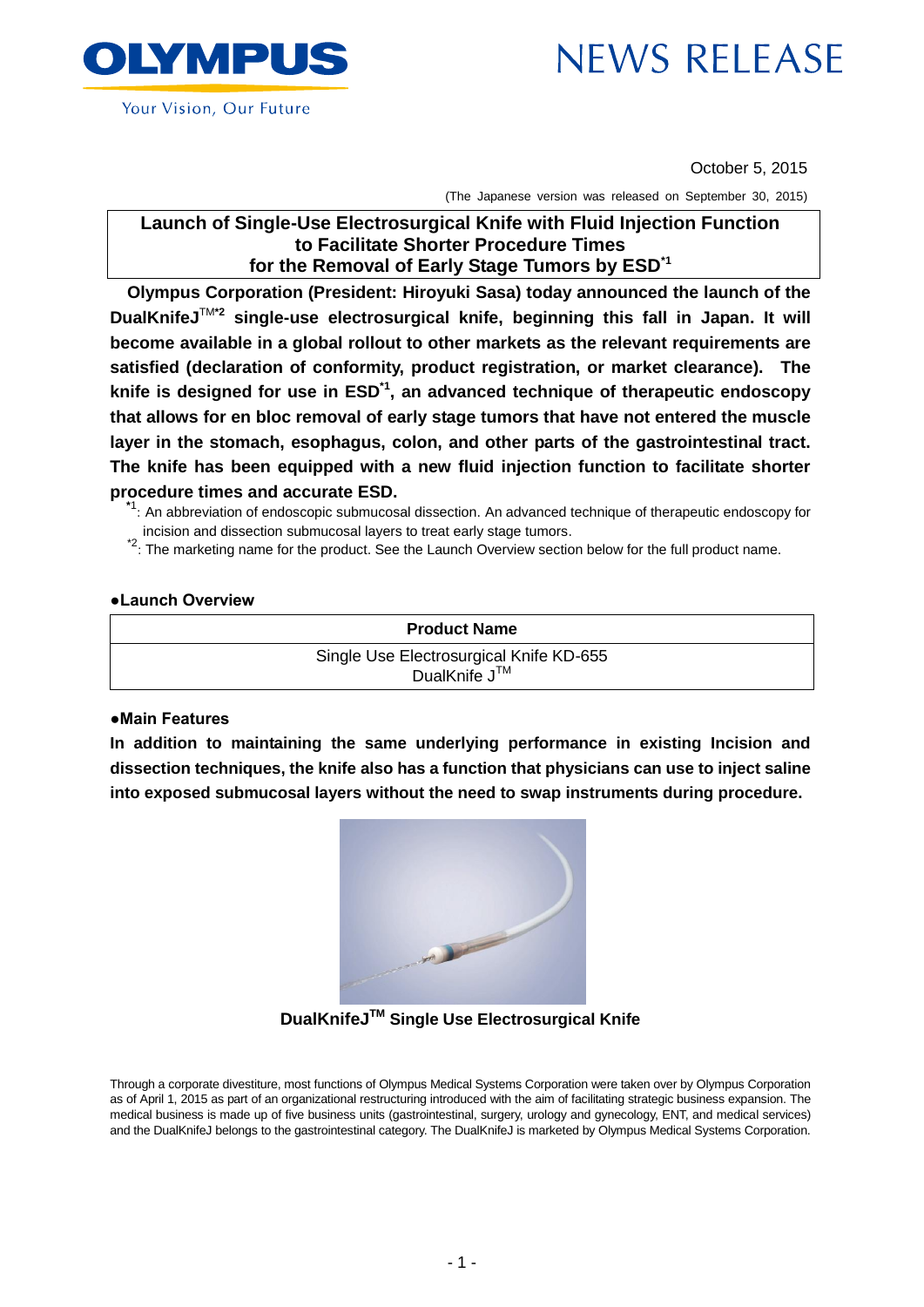

October 5, 2015

(The Japanese version was released on September 30, 2015)

# **Launch of Single-Use Electrosurgical Knife with Fluid Injection Function to Facilitate Shorter Procedure Times for the Removal of Early Stage Tumors by ESD\*1**

**Olympus Corporation (President: Hiroyuki Sasa) today announced the launch of the DualKnifeJ**TM**\*2 single-use electrosurgical knife, beginning this fall in Japan. It will become available in a global rollout to other markets as the relevant requirements are satisfied (declaration of conformity, product registration, or market clearance). The knife is designed for use in ESD\*1 , an advanced technique of therapeutic endoscopy that allows for en bloc removal of early stage tumors that have not entered the muscle layer in the stomach, esophagus, colon, and other parts of the gastrointestinal tract. The knife has been equipped with a new fluid injection function to facilitate shorter procedure times and accurate ESD.**

**\***1 : An abbreviation of endoscopic submucosal dissection. An advanced technique of therapeutic endoscopy for incision and dissection submucosal layers to treat early stage tumors.

<sup>\*2</sup>: The marketing name for the product. See the Launch Overview section below for the full product name.

### **●Launch Overview**



### **●Main Features**

**In addition to maintaining the same underlying performance in existing Incision and dissection techniques, the knife also has a function that physicians can use to inject saline into exposed submucosal layers without the need to swap instruments during procedure.** 



**DualKnifeJTM Single Use Electrosurgical Knife**

Through a corporate divestiture, most functions of Olympus Medical Systems Corporation were taken over by Olympus Corporation as of April 1, 2015 as part of an organizational restructuring introduced with the aim of facilitating strategic business expansion. The medical business is made up of five business units (gastrointestinal, surgery, urology and gynecology, ENT, and medical services) and the DualKnifeJ belongs to the gastrointestinal category. The DualKnifeJ is marketed by Olympus Medical Systems Corporation.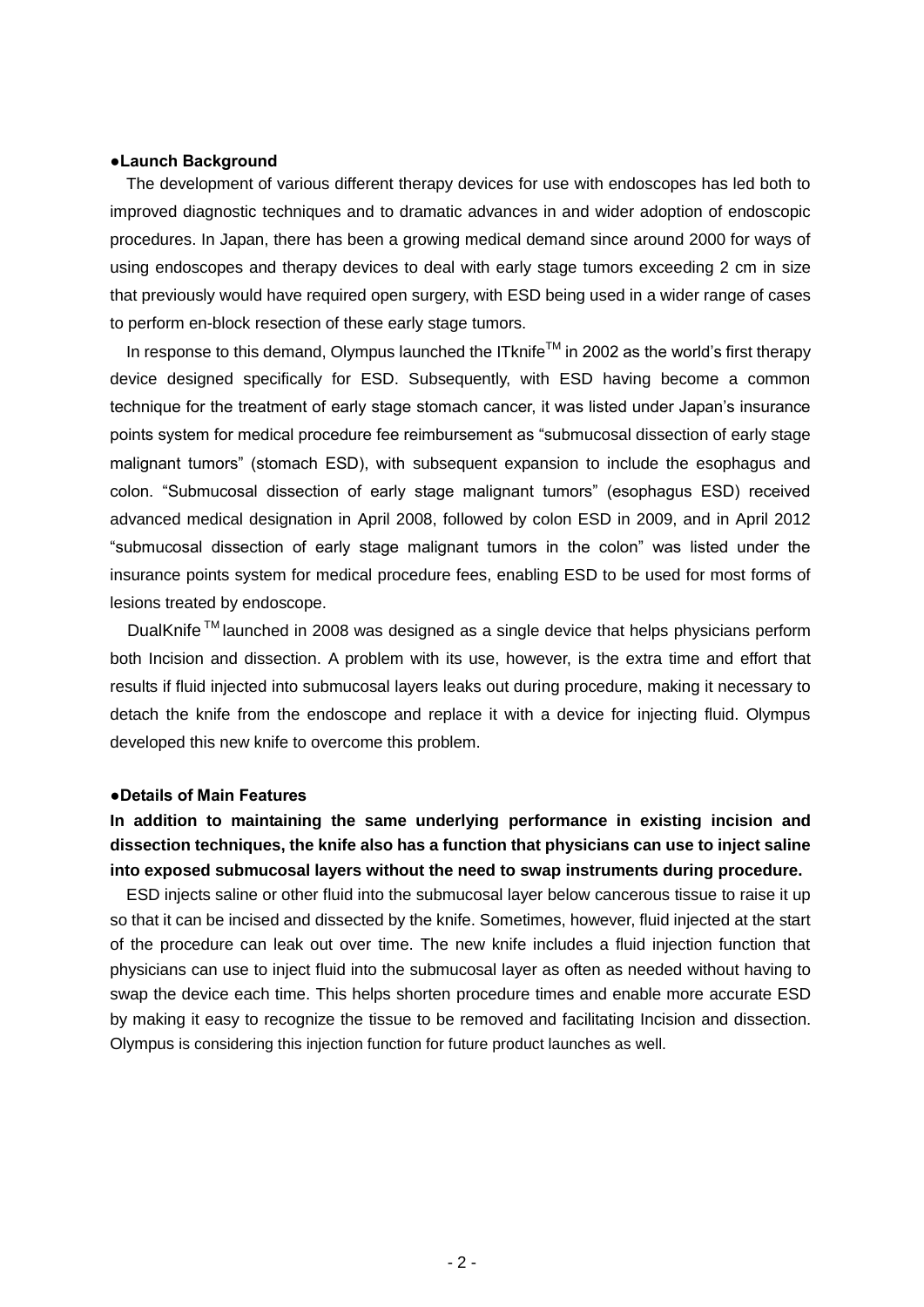### **●Launch Background**

The development of various different therapy devices for use with endoscopes has led both to improved diagnostic techniques and to dramatic advances in and wider adoption of endoscopic procedures. In Japan, there has been a growing medical demand since around 2000 for ways of using endoscopes and therapy devices to deal with early stage tumors exceeding 2 cm in size that previously would have required open surgery, with ESD being used in a wider range of cases to perform en-block resection of these early stage tumors.

In response to this demand, Olympus launched the ITknife<sup>TM</sup> in 2002 as the world's first therapy device designed specifically for ESD. Subsequently, with ESD having become a common technique for the treatment of early stage stomach cancer, it was listed under Japan's insurance points system for medical procedure fee reimbursement as "submucosal dissection of early stage malignant tumors" (stomach ESD), with subsequent expansion to include the esophagus and colon. "Submucosal dissection of early stage malignant tumors" (esophagus ESD) received advanced medical designation in April 2008, followed by colon ESD in 2009, and in April 2012 "submucosal dissection of early stage malignant tumors in the colon" was listed under the insurance points system for medical procedure fees, enabling ESD to be used for most forms of lesions treated by endoscope.

DualKnife<sup>™</sup> launched in 2008 was designed as a single device that helps physicians perform both Incision and dissection. A problem with its use, however, is the extra time and effort that results if fluid injected into submucosal layers leaks out during procedure, making it necessary to detach the knife from the endoscope and replace it with a device for injecting fluid. Olympus developed this new knife to overcome this problem.

#### **●Details of Main Features**

# **In addition to maintaining the same underlying performance in existing incision and dissection techniques, the knife also has a function that physicians can use to inject saline into exposed submucosal layers without the need to swap instruments during procedure.**

ESD injects saline or other fluid into the submucosal layer below cancerous tissue to raise it up so that it can be incised and dissected by the knife. Sometimes, however, fluid injected at the start of the procedure can leak out over time. The new knife includes a fluid injection function that physicians can use to inject fluid into the submucosal layer as often as needed without having to swap the device each time. This helps shorten procedure times and enable more accurate ESD by making it easy to recognize the tissue to be removed and facilitating Incision and dissection. Olympus is considering this injection function for future product launches as well.